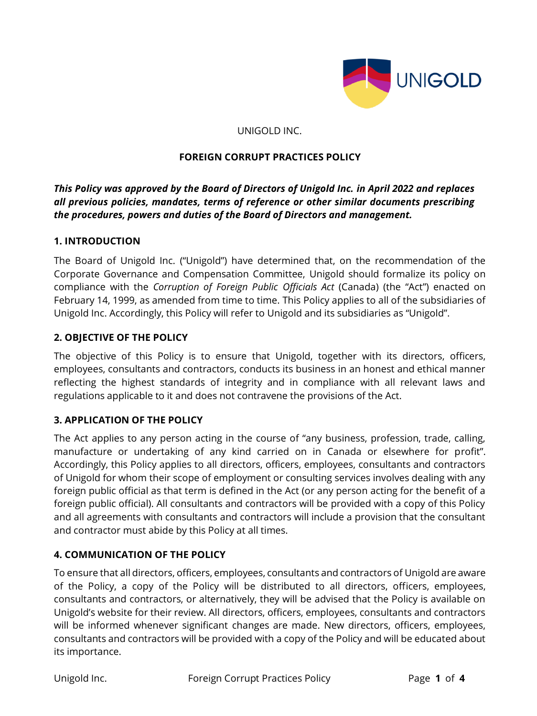

UNIGOLD INC.

#### **FOREIGN CORRUPT PRACTICES POLICY**

*This Policy was approved by the Board of Directors of Unigold Inc. in April 2022 and replaces all previous policies, mandates, terms of reference or other similar documents prescribing the procedures, powers and duties of the Board of Directors and management.*

### **1. INTRODUCTION**

The Board of Unigold Inc. ("Unigold") have determined that, on the recommendation of the Corporate Governance and Compensation Committee, Unigold should formalize its policy on compliance with the *Corruption of Foreign Public Officials Act* (Canada) (the "Act") enacted on February 14, 1999, as amended from time to time. This Policy applies to all of the subsidiaries of Unigold Inc. Accordingly, this Policy will refer to Unigold and its subsidiaries as "Unigold".

### **2. OBJECTIVE OF THE POLICY**

The objective of this Policy is to ensure that Unigold, together with its directors, officers, employees, consultants and contractors, conducts its business in an honest and ethical manner reflecting the highest standards of integrity and in compliance with all relevant laws and regulations applicable to it and does not contravene the provisions of the Act.

## **3. APPLICATION OF THE POLICY**

The Act applies to any person acting in the course of "any business, profession, trade, calling, manufacture or undertaking of any kind carried on in Canada or elsewhere for profit". Accordingly, this Policy applies to all directors, officers, employees, consultants and contractors of Unigold for whom their scope of employment or consulting services involves dealing with any foreign public official as that term is defined in the Act (or any person acting for the benefit of a foreign public official). All consultants and contractors will be provided with a copy of this Policy and all agreements with consultants and contractors will include a provision that the consultant and contractor must abide by this Policy at all times.

## **4. COMMUNICATION OF THE POLICY**

To ensure that all directors, officers, employees, consultants and contractors of Unigold are aware of the Policy, a copy of the Policy will be distributed to all directors, officers, employees, consultants and contractors, or alternatively, they will be advised that the Policy is available on Unigold's website for their review. All directors, officers, employees, consultants and contractors will be informed whenever significant changes are made. New directors, officers, employees, consultants and contractors will be provided with a copy of the Policy and will be educated about its importance.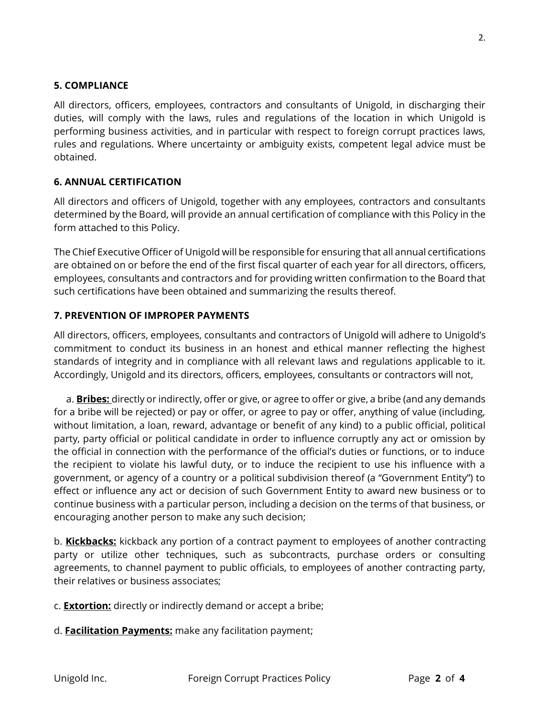All directors, officers, employees, contractors and consultants of Unigold, in discharging their duties, will comply with the laws, rules and regulations of the location in which Unigold is performing business activities, and in particular with respect to foreign corrupt practices laws, rules and regulations. Where uncertainty or ambiguity exists, competent legal advice must be obtained.

# **6. ANNUAL CERTIFICATION**

All directors and officers of Unigold, together with any employees, contractors and consultants determined by the Board, will provide an annual certification of compliance with this Policy in the form attached to this Policy.

The Chief Executive Officer of Unigold will be responsible for ensuring that all annual certifications are obtained on or before the end of the first fiscal quarter of each year for all directors, officers, employees, consultants and contractors and for providing written confirmation to the Board that such certifications have been obtained and summarizing the results thereof.

# **7. PREVENTION OF IMPROPER PAYMENTS**

All directors, officers, employees, consultants and contractors of Unigold will adhere to Unigold's commitment to conduct its business in an honest and ethical manner reflecting the highest standards of integrity and in compliance with all relevant laws and regulations applicable to it. Accordingly, Unigold and its directors, officers, employees, consultants or contractors will not,

a. **Bribes:** directly or indirectly, offer or give, or agree to offer or give, a bribe (and any demands for a bribe will be rejected) or pay or offer, or agree to pay or offer, anything of value (including, without limitation, a loan, reward, advantage or benefit of any kind) to a public official, political party, party official or political candidate in order to influence corruptly any act or omission by the official in connection with the performance of the official's duties or functions, or to induce the recipient to violate his lawful duty, or to induce the recipient to use his influence with a government, or agency of a country or a political subdivision thereof (a "Government Entity") to effect or influence any act or decision of such Government Entity to award new business or to continue business with a particular person, including a decision on the terms of that business, or encouraging another person to make any such decision;

b. **Kickbacks:** kickback any portion of a contract payment to employees of another contracting party or utilize other techniques, such as subcontracts, purchase orders or consulting agreements, to channel payment to public officials, to employees of another contracting party, their relatives or business associates;

- c. **Extortion:** directly or indirectly demand or accept a bribe;
- d. **Facilitation Payments:** make any facilitation payment;

2.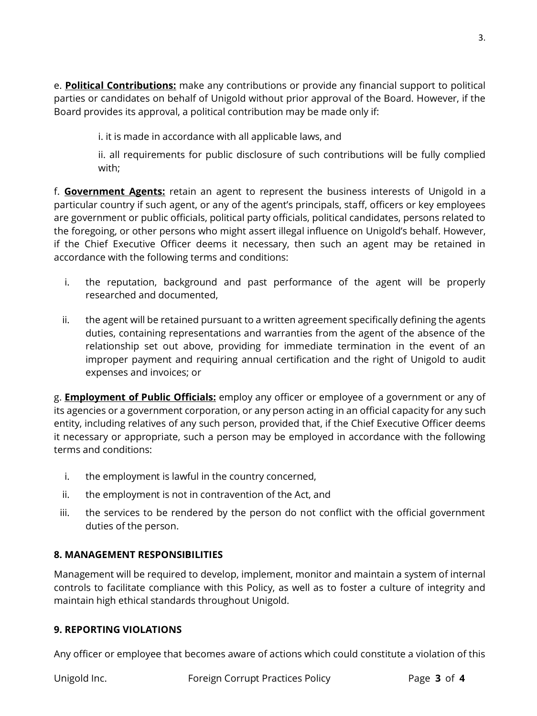e. **Political Contributions:** make any contributions or provide any financial support to political parties or candidates on behalf of Unigold without prior approval of the Board. However, if the Board provides its approval, a political contribution may be made only if:

i. it is made in accordance with all applicable laws, and

ii. all requirements for public disclosure of such contributions will be fully complied with;

f. **Government Agents:** retain an agent to represent the business interests of Unigold in a particular country if such agent, or any of the agent's principals, staff, officers or key employees are government or public officials, political party officials, political candidates, persons related to the foregoing, or other persons who might assert illegal influence on Unigold's behalf. However, if the Chief Executive Officer deems it necessary, then such an agent may be retained in accordance with the following terms and conditions:

- i. the reputation, background and past performance of the agent will be properly researched and documented,
- ii. the agent will be retained pursuant to a written agreement specifically defining the agents duties, containing representations and warranties from the agent of the absence of the relationship set out above, providing for immediate termination in the event of an improper payment and requiring annual certification and the right of Unigold to audit expenses and invoices; or

g. **Employment of Public Officials:** employ any officer or employee of a government or any of its agencies or a government corporation, or any person acting in an official capacity for any such entity, including relatives of any such person, provided that, if the Chief Executive Officer deems it necessary or appropriate, such a person may be employed in accordance with the following terms and conditions:

- i. the employment is lawful in the country concerned,
- ii. the employment is not in contravention of the Act, and
- iii. the services to be rendered by the person do not conflict with the official government duties of the person.

# **8. MANAGEMENT RESPONSIBILITIES**

Management will be required to develop, implement, monitor and maintain a system of internal controls to facilitate compliance with this Policy, as well as to foster a culture of integrity and maintain high ethical standards throughout Unigold.

## **9. REPORTING VIOLATIONS**

Any officer or employee that becomes aware of actions which could constitute a violation of this